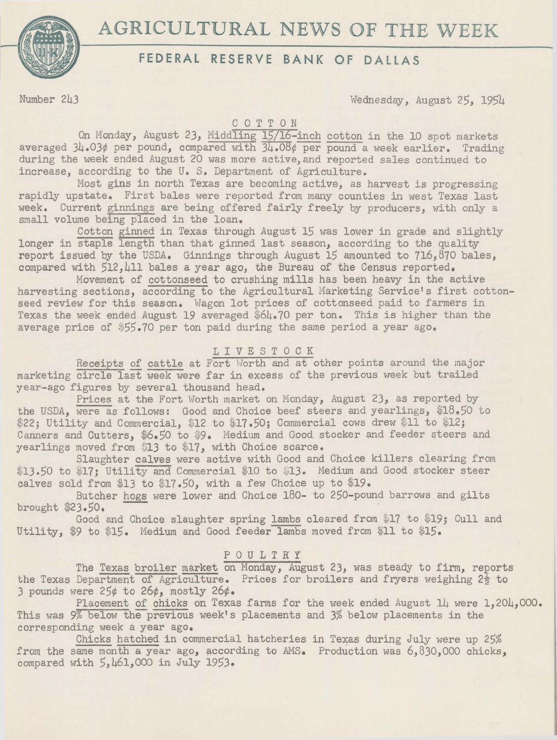# AGRICULTURAL NEWS OF THE WEEK



## **FEDERAL RESERVE BANK OF DALLAS**

Number 243 Wednesday, August 25, 1954

COTTON

On Monday, August 23, Middling 15/16-inch cotton in the 10 spot markets averaged  $34.03$ ¢ per pound, compared with  $34.08$ ¢ per pound a week earlier. Trading during the week ended August 20 was more active, and reported sales continued to increase, according to the U.S. Department of Agriculture.

Most gins in north Texas are becoming active, as harvest is progressing rapidly upstate. First bales were reported from many counties in west Texas last week. Current ginnings are being offered fairly freely by producers, with only a small volume being placed in the loan.

Cotton ginned in Texas through August 15 was lower in grade and slightly longer in staple length than that ginned last season, according to the quality report issued by the USDA. Ginnings through August 15 amounted to 716,870 bales, compared with 512,411 bales a year ago, the Bureau of the Census reported.

Movement of cottonseed to crushing mills has been heavy in the active harvesting sections, according to the Agricultural Marketing Service's first cottonseed review for this season, Wagon lot prices of cottonseed paid to farmers in Texas the week ended August 19 averaged \$64.70 per ton. This is higher than the average price of \$55.70 per ton paid during the same period a year ago,

#### L I V E S T 0 C K

Receipts of cattle at Fort Worth and at other points around the major marketing circle last week were far in excess of the previous week but trailed year-ago figures by several thousand head.

Prices at the Fort Worth market on Monday, August 23, as reported by the USDA, were as follows: Good and Choice beef steers and yearlings, \$18.50 to \$22; Utility and Commercial, \$12 to \$17.50; Commercial cows drew \$11 to \$12; Canners and Cutters, \$6.50 to \$9. Medium and Good stocker and feeder steers and yearlings moved from \$13 to \$17, with Choice scarce.

Slaughter calves were active with Good and Choice killers clearing from \$13.50 to \$17; Utility and Commercial \$10 to \$13. Medium and Good stocker steer calves sold from \$13 to \$17.50, with a few Choice up to \$19.

Butcher hogs were lower and Choice 180- to 250-pound barrows and gilts brought  $$23.50$ .

Good and Choice slaughter spring lambs cleared from \$17 to \$19; Cull and Utility, \$9 to \$15. Medium and Good feeder lambs moved from \$11 to \$15.

### POULTRY

The Texas broiler market on Monday, August 23, was steady to firm, reports the Texas Department of Agriculture. Prices for broilers and fryers weighing  $2\frac{1}{5}$  to 3 pounds were 25¢ to *26¢,* mostly 26¢.

Placement of chicks on Texas farms for the week ended August 14 were 1,204,000. This was 9% below the previous week's placements and 3% below placements in the corresponding week a year ago.

Chicks hatched in commercial hatcheries in Texas during July were up 25% from the same month a year ago, according to AMS. Production was 6,830,000 chicks, compared with 5,461,000 in July 1953.